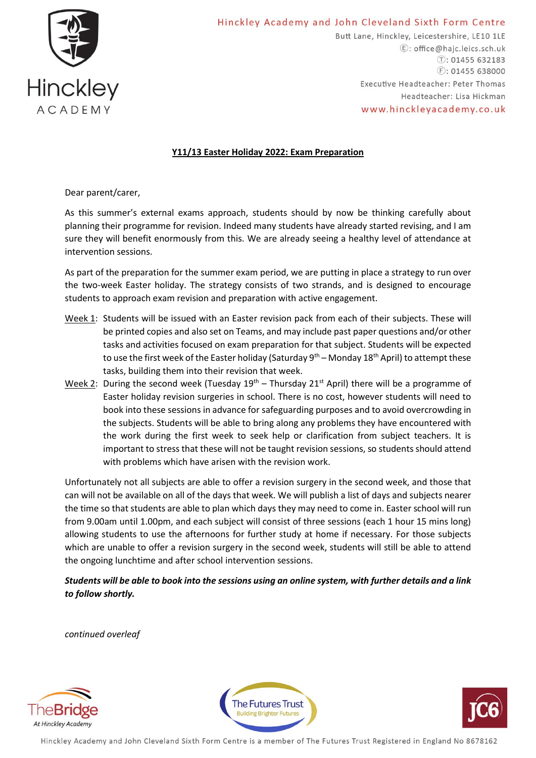

## Hinckley Academy and John Cleveland Sixth Form Centre

Butt Lane, Hinckley, Leicestershire, LE10 1LE E: office@hajc.leics.sch.uk  $\circ$ : 01455 632183  $E: 01455638000$ Executive Headteacher: Peter Thomas Headteacher: Lisa Hickman www.hinckleyacademy.co.uk

## **Y11/13 Easter Holiday 2022: Exam Preparation**

Dear parent/carer,

As this summer's external exams approach, students should by now be thinking carefully about planning their programme for revision. Indeed many students have already started revising, and I am sure they will benefit enormously from this. We are already seeing a healthy level of attendance at intervention sessions.

As part of the preparation for the summer exam period, we are putting in place a strategy to run over the two-week Easter holiday. The strategy consists of two strands, and is designed to encourage students to approach exam revision and preparation with active engagement.

- Week 1: Students will be issued with an Easter revision pack from each of their subjects. These will be printed copies and also set on Teams, and may include past paper questions and/or other tasks and activities focused on exam preparation for that subject. Students will be expected to use the first week of the Easter holiday (Saturday 9<sup>th</sup> – Monday 18<sup>th</sup> April) to attempt these tasks, building them into their revision that week.
- Week 2: During the second week (Tuesday  $19<sup>th</sup>$  Thursday 21<sup>st</sup> April) there will be a programme of Easter holiday revision surgeries in school. There is no cost, however students will need to book into these sessions in advance for safeguarding purposes and to avoid overcrowding in the subjects. Students will be able to bring along any problems they have encountered with the work during the first week to seek help or clarification from subject teachers. It is important to stress that these will not be taught revision sessions, so students should attend with problems which have arisen with the revision work.

Unfortunately not all subjects are able to offer a revision surgery in the second week, and those that can will not be available on all of the days that week. We will publish a list of days and subjects nearer the time so that students are able to plan which days they may need to come in. Easter school will run from 9.00am until 1.00pm, and each subject will consist of three sessions (each 1 hour 15 mins long) allowing students to use the afternoons for further study at home if necessary. For those subjects which are unable to offer a revision surgery in the second week, students will still be able to attend the ongoing lunchtime and after school intervention sessions.

*Students will be able to book into the sessions using an online system, with further details and a link to follow shortly.*

*continued overleaf*